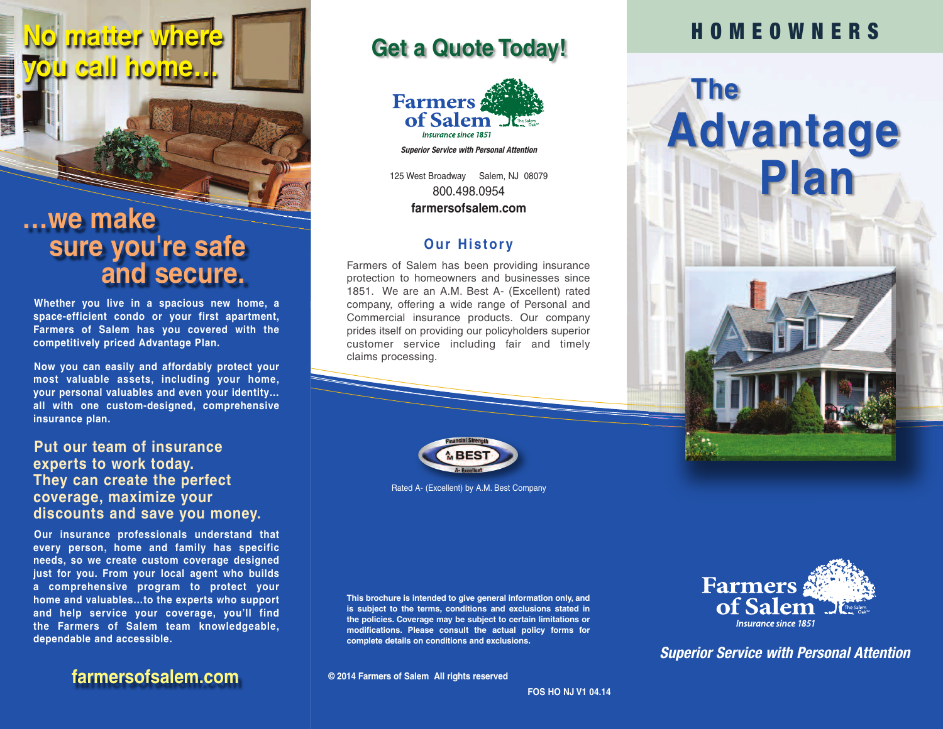# **…we make sure you're safe and secure.**

**No matter where**

**you call home…**

**Whether you live in a spacious new home, a space-efficient condo or your first apartment, Farmers of Salem has you covered with the competitively priced Advantage Plan.**

**Now you can easily and affordably protect your most valuable assets, including your home, your personal valuables and even your identity… all with one custom-designed, comprehensive insurance plan.**

#### **Put our team of insurance experts to work today. They can create the perfect coverage, maximize your discounts and save you money.**

**Our insurance professionals understand that every person, home and family has specific needs, so we create custom coverage designed just for you. From your local agent who builds a comprehensive program to protect your home and valuables…to the experts who support and help service your coverage, you'll find the Farmers of Salem team knowledgeable, dependable and accessible.**

**farmersofsalem.com**

### **Get a Quote Today!**



*Superior Service with Personal Attention*

125 West Broadway Salem, NJ 08079 800.498.0954 **farmersofsalem.com**

#### **Our Histor y**

Farmers of Salem has been providing insurance protection to homeowners and businesses since 1851. We are an A.M. Best A- (Excellent) rated company, offering a wide range of Personal and Commercial insurance products. Our company prides itself on providing our policyholders superior customer service including fair and timely claims processing.



Rated A- (Excellent) by A.M. Best Company

**This brochure is intended to give general information only, and is subject to the terms, conditions and exclusions stated in the policies. Coverage may be subject to certain limitations or modifications. Please consult the actual policy forms for complete details on conditions and exclusions.**

**© 2014 Farmers of Salem All rights reserved**

## **H O M E O W N E R S**





*Superior Service with Personal Attention*